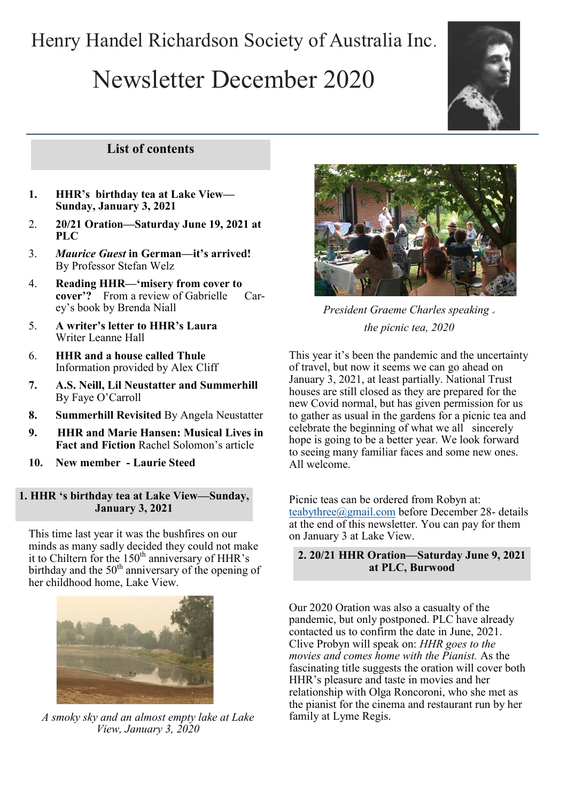# Henry Handel Richardson Society of Australia Inc.

# Newsletter December 2020



# **List of contents**

- **1. HHR's birthday tea at Lake View— Sunday, January 3, 2021**
- 2. **20/21 Oration—Saturday June 19, 2021 at PLC**
- 3. *Maurice Guest* **in German—it's arrived!**  By Professor Stefan Welz
- 4. **Reading HHR—'misery from cover to cover'?** From a review of Gabrielle Carey's book by Brenda Niall
- 5. **A writer's letter to HHR's Laura**  Writer Leanne Hall
- 6. **HHR and a house called Thule**  Information provided by Alex Cliff
- **7. A.S. Neill, Lil Neustatter and Summerhill**  By Faye O'Carroll
- **8. Summerhill Revisited** By Angela Neustatter
- **9. HHR and Marie Hansen: Musical Lives in Fact and Fiction** Rachel Solomon's article
- **10. New member - Laurie Steed**

#### **1. HHR 's birthday tea at Lake View—Sunday, January 3, 2021**

This time last year it was the bushfires on our minds as many sadly decided they could not make it to Chiltern for the 150<sup>th</sup> anniversary of HHR's birthday and the  $50<sup>th</sup>$  anniversary of the opening of her childhood home, Lake View.



*A smoky sky and an almost empty lake at Lake View, January 3, 2020*



*President Graeme Charles speaking at the picnic tea, 2020*

This year it's been the pandemic and the uncertainty of travel, but now it seems we can go ahead on January 3, 2021, at least partially. National Trust houses are still closed as they are prepared for the new Covid normal, but has given permission for us to gather as usual in the gardens for a picnic tea and celebrate the beginning of what we all sincerely hope is going to be a better year. We look forward to seeing many familiar faces and some new ones. All welcome.

Picnic teas can be ordered from Robyn at: [teabythree@gmail.com](mailto:teabythree@gmail.com) before December 28- details at the end of this newsletter. You can pay for them on January 3 at Lake View.

#### **2. 20/21 HHR Oration—Saturday June 9, 2021 at PLC, Burwood**

Our 2020 Oration was also a casualty of the pandemic, but only postponed. PLC have already contacted us to confirm the date in June, 2021. Clive Probyn will speak on: *HHR goes to the movies and comes home with the Pianist.* As the fascinating title suggests the oration will cover both HHR's pleasure and taste in movies and her relationship with Olga Roncoroni, who she met as the pianist for the cinema and restaurant run by her family at Lyme Regis.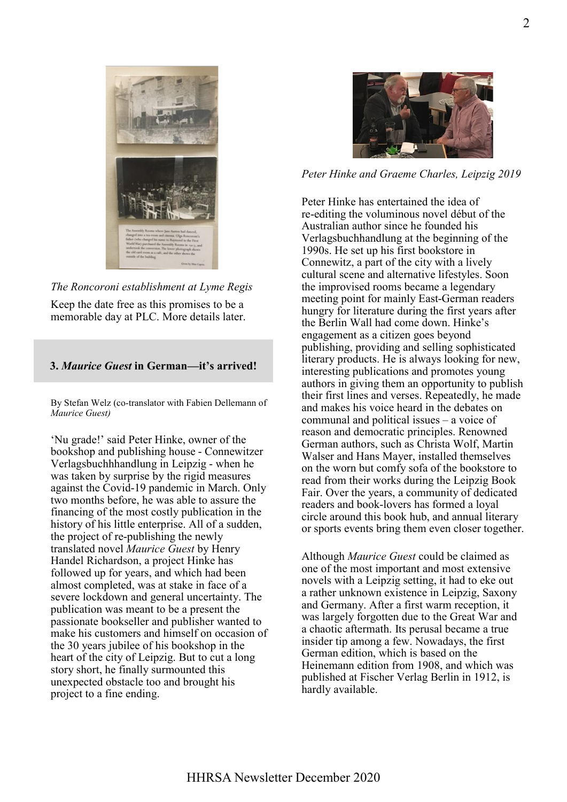

*The Roncoroni establishment at Lyme Regis*

Keep the date free as this promises to be a memorable day at PLC. More details later.

#### **3.** *Maurice Guest* **in German—it's arrived!**

By Stefan Welz (co-translator with Fabien Dellemann of *Maurice Guest)*

'Nu grade!' said Peter Hinke, owner of the bookshop and publishing house - Connewitzer Verlagsbuchhhandlung in Leipzig - when he was taken by surprise by the rigid measures against the Covid-19 pandemic in March. Only two months before, he was able to assure the financing of the most costly publication in the history of his little enterprise. All of a sudden, the project of re-publishing the newly translated novel *Maurice Guest* by Henry Handel Richardson, a project Hinke has followed up for years, and which had been almost completed, was at stake in face of a severe lockdown and general uncertainty. The publication was meant to be a present the passionate bookseller and publisher wanted to make his customers and himself on occasion of the 30 years jubilee of his bookshop in the heart of the city of Leipzig. But to cut a long story short, he finally surmounted this unexpected obstacle too and brought his project to a fine ending.



#### *Peter Hinke and Graeme Charles, Leipzig 2019*

Peter Hinke has entertained the idea of re-editing the voluminous novel début of the Australian author since he founded his Verlagsbuchhandlung at the beginning of the 1990s. He set up his first bookstore in Connewitz, a part of the city with a lively cultural scene and alternative lifestyles. Soon the improvised rooms became a legendary meeting point for mainly East-German readers hungry for literature during the first years after the Berlin Wall had come down. Hinke's engagement as a citizen goes beyond publishing, providing and selling sophisticated literary products. He is always looking for new, interesting publications and promotes young authors in giving them an opportunity to publish their first lines and verses. Repeatedly, he made and makes his voice heard in the debates on communal and political issues – a voice of reason and democratic principles. Renowned German authors, such as Christa Wolf, Martin Walser and Hans Mayer, installed themselves on the worn but comfy sofa of the bookstore to read from their works during the Leipzig Book Fair. Over the years, a community of dedicated readers and book-lovers has formed a loyal circle around this book hub, and annual literary or sports events bring them even closer together.

Although *Maurice Guest* could be claimed as one of the most important and most extensive novels with a Leipzig setting, it had to eke out a rather unknown existence in Leipzig, Saxony and Germany. After a first warm reception, it was largely forgotten due to the Great War and a chaotic aftermath. Its perusal became a true insider tip among a few. Nowadays, the first German edition, which is based on the Heinemann edition from 1908, and which was published at Fischer Verlag Berlin in 1912, is hardly available.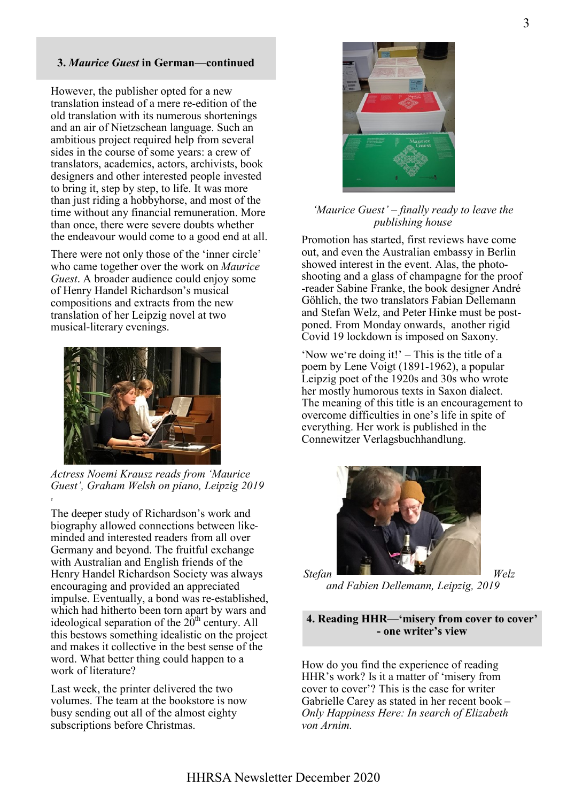#### **3.** *Maurice Guest* **in German—continued**

However, the publisher opted for a new translation instead of a mere re-edition of the old translation with its numerous shortenings and an air of Nietzschean language. Such an ambitious project required help from several sides in the course of some years: a crew of translators, academics, actors, archivists, book designers and other interested people invested to bring it, step by step, to life. It was more than just riding a hobbyhorse, and most of the time without any financial remuneration. More than once, there were severe doubts whether the endeavour would come to a good end at all.

There were not only those of the 'inner circle' who came together over the work on *Maurice Guest*. A broader audience could enjoy some of Henry Handel Richardson's musical compositions and extracts from the new translation of her Leipzig novel at two musical-literary evenings.



*Actress Noemi Krausz reads from 'Maurice Guest', Graham Welsh on piano, Leipzig 2019*

T

The deeper study of Richardson's work and biography allowed connections between likeminded and interested readers from all over Germany and beyond. The fruitful exchange with Australian and English friends of the Henry Handel Richardson Society was always encouraging and provided an appreciated impulse. Eventually, a bond was re-established, which had hitherto been torn apart by wars and ideological separation of the  $20<sup>th</sup>$  century. All this bestows something idealistic on the project and makes it collective in the best sense of the word. What better thing could happen to a work of literature?

Last week, the printer delivered the two volumes. The team at the bookstore is now busy sending out all of the almost eighty subscriptions before Christmas.



#### *'Maurice Guest' – finally ready to leave the publishing house*

Promotion has started, first reviews have come out, and even the Australian embassy in Berlin showed interest in the event. Alas, the photoshooting and a glass of champagne for the proof -reader Sabine Franke, the book designer André Göhlich, the two translators Fabian Dellemann and Stefan Welz, and Peter Hinke must be postponed. From Monday onwards, another rigid Covid 19 lockdown is imposed on Saxony.

'Now we're doing it!' – This is the title of a poem by Lene Voigt (1891-1962), a popular Leipzig poet of the 1920s and 30s who wrote her mostly humorous texts in Saxon dialect. The meaning of this title is an encouragement to overcome difficulties in one's life in spite of everything. Her work is published in the Connewitzer Verlagsbuchhandlung.



*and Fabien Dellemann, Leipzig, 2019*

**4. Reading HHR—'misery from cover to cover' - one writer's view**

How do you find the experience of reading HHR's work? Is it a matter of 'misery from cover to cover'? This is the case for writer Gabrielle Carey as stated in her recent book – *Only Happiness Here: In search of Elizabeth von Arnim.*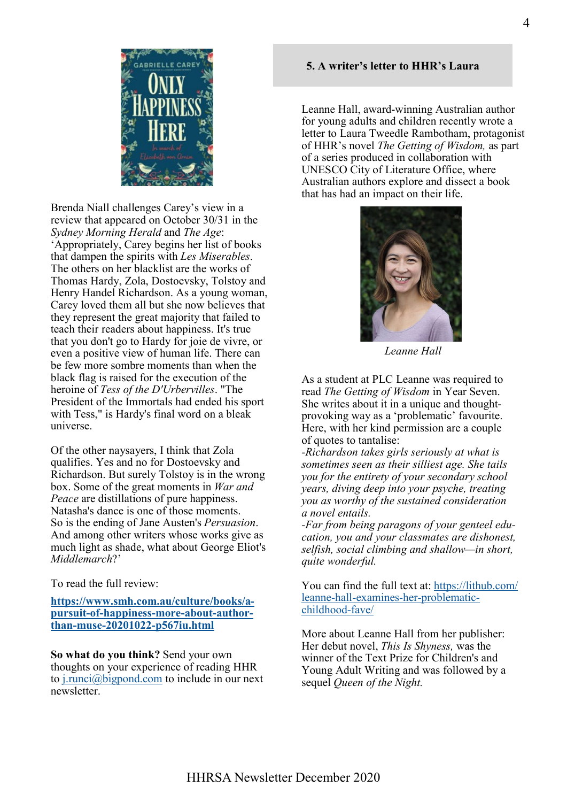Brenda Niall challenges Carey's view in a review that appeared on October 30/31 in the *Sydney Morning Herald* and *The Age*: 'Appropriately, Carey begins her list of books that dampen the spirits with *Les Miserables*. The others on her blacklist are the works of Thomas Hardy, Zola, Dostoevsky, Tolstoy and Henry Handel Richardson. As a young woman, Carey loved them all but she now believes that they represent the great majority that failed to teach their readers about happiness. It's true that you don't go to Hardy for joie de vivre, or even a positive view of human life. There can be few more sombre moments than when the black flag is raised for the execution of the heroine of *Tess of the D'Urbervilles*. "The President of the Immortals had ended his sport with Tess," is Hardy's final word on a bleak universe.

Of the other naysayers, I think that Zola qualifies. Yes and no for Dostoevsky and Richardson. But surely Tolstoy is in the wrong box. Some of the great moments in *War and Peace* are distillations of pure happiness. Natasha's dance is one of those moments. So is the ending of Jane Austen's *Persuasion*. And among other writers whose works give as much light as shade, what about George Eliot's *Middlemarch*?'

To read the full review:

#### **[https://www.smh.com.au/culture/books/a](https://www.smh.com.au/culture/books/a-pursuit-of-happiness-more-about-author-than-muse-20201022-p567iu.html)pursuit-of-[happiness](https://www.smh.com.au/culture/books/a-pursuit-of-happiness-more-about-author-than-muse-20201022-p567iu.html)-more-about-authorthan-muse-20201022-[p567iu.html](https://www.smh.com.au/culture/books/a-pursuit-of-happiness-more-about-author-than-muse-20201022-p567iu.html)**

**So what do you think?** Send your own thoughts on your experience of reading HHR to  $j$ . runci $(a)$  bigpond.com to include in our next newsletter.

### **5. A writer's letter to HHR's Laura**

Leanne Hall, award-winning Australian author for young adults and children recently wrote a letter to Laura Tweedle Rambotham, protagonist of HHR's novel *The Getting of Wisdom,* as part of a series produced in collaboration with UNESCO City of Literature Office, where Australian authors explore and dissect a book that has had an impact on their life.



*Leanne Hall*

As a student at PLC Leanne was required to read *The Getting of Wisdom* in Year Seven. She writes about it in a unique and thoughtprovoking way as a 'problematic' favourite. Here, with her kind permission are a couple of quotes to tantalise:

*-Richardson takes girls seriously at what is sometimes seen as their silliest age. She tails you for the entirety of your secondary school years, diving deep into your psyche, treating you as worthy of the sustained consideration a novel entails.*

*-Far from being paragons of your genteel education, you and your classmates are dishonest, selfish, social climbing and shallow—in short, quite wonderful.*

You can find the full text at: [https://lithub.com/](https://lithub.com/leanne-hall-examines-her-problematic-childhood-fave/) leanne-hall-examines-her-[problematic](https://lithub.com/leanne-hall-examines-her-problematic-childhood-fave/)[childhood](https://lithub.com/leanne-hall-examines-her-problematic-childhood-fave/)-fave/

More about Leanne Hall from her publisher: Her debut novel, *This Is Shyness,* was the winner of the Text Prize for Children's and Young Adult Writing and was followed by a sequel *Queen of the Night.*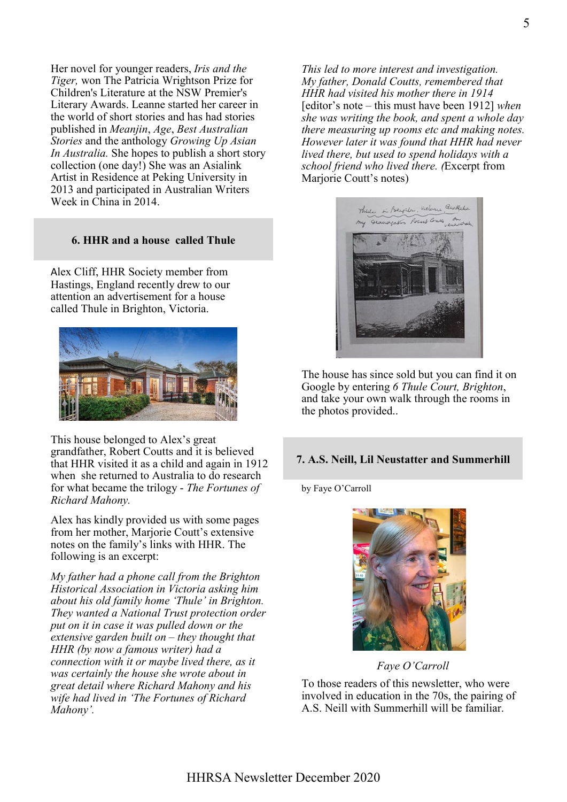Her novel for younger readers, *Iris and the Tiger,* won The Patricia Wrightson Prize for Children's Literature at the NSW Premier's Literary Awards. Leanne started her career in the world of short stories and has had stories published in *Meanjin*, *Age*, *Best Australian Stories* and the anthology *Growing Up Asian In Australia.* She hopes to publish a short story collection (one day!) She was an Asialink Artist in Residence at Peking University in 2013 and participated in Australian Writers Week in China in 2014.

#### **6. HHR and a house called Thule**

Alex Cliff, HHR Society member from Hastings, England recently drew to our attention an advertisement for a house called Thule in Brighton, Victoria.



This house belonged to Alex's great grandfather, Robert Coutts and it is believed that HHR visited it as a child and again in 1912 when she returned to Australia to do research for what became the trilogy - *The Fortunes of Richard Mahony.*

Alex has kindly provided us with some pages from her mother, Marjorie Coutt's extensive notes on the family's links with HHR. The following is an excerpt:

*My father had a phone call from the Brighton Historical Association in Victoria asking him about his old family home 'Thule' in Brighton. They wanted a National Trust protection order put on it in case it was pulled down or the extensive garden built on – they thought that HHR (by now a famous writer) had a connection with it or maybe lived there, as it was certainly the house she wrote about in great detail where Richard Mahony and his wife had lived in 'The Fortunes of Richard Mahony'.*

*This led to more interest and investigation. My father, Donald Coutts, remembered that HHR had visited his mother there in 1914*  [editor's note – this must have been 1912] *when she was writing the book, and spent a whole day there measuring up rooms etc and making notes. However later it was found that HHR had never lived there, but used to spend holidays with a school friend who lived there. (*Excerpt from Marjorie Coutt's notes)



The house has since sold but you can find it on Google by entering *6 Thule Court, Brighton*, and take your own walk through the rooms in the photos provided..

#### **7. A.S. Neill, Lil Neustatter and Summerhill**

by Faye O'Carroll



*Faye O'Carroll*

To those readers of this newsletter, who were involved in education in the 70s, the pairing of A.S. Neill with Summerhill will be familiar.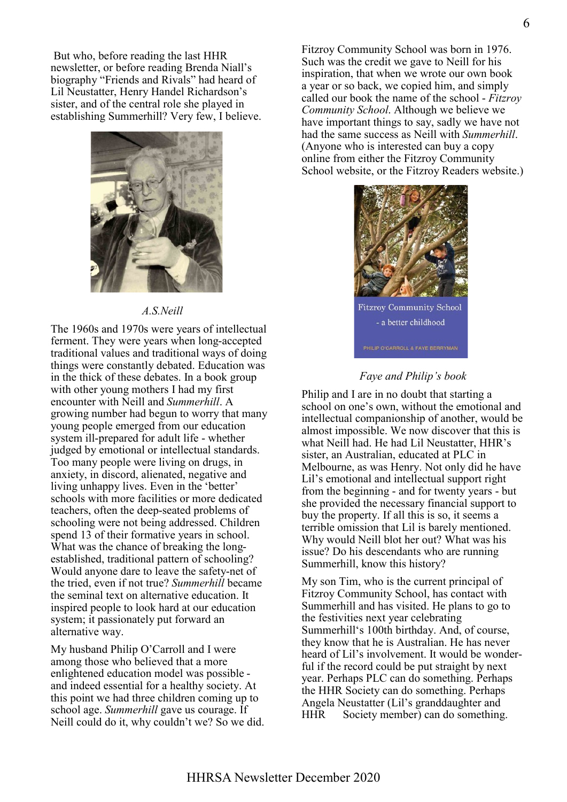But who, before reading the last HHR newsletter, or before reading Brenda Niall's biography "Friends and Rivals" had heard of Lil Neustatter, Henry Handel Richardson's sister, and of the central role she played in establishing Summerhill? Very few, I believe.



#### *A.S.Neill*

The 1960s and 1970s were years of intellectual ferment. They were years when long-accepted traditional values and traditional ways of doing things were constantly debated. Education was in the thick of these debates. In a book group with other young mothers I had my first encounter with Neill and *Summerhill*. A growing number had begun to worry that many young people emerged from our education system ill-prepared for adult life - whether judged by emotional or intellectual standards. Too many people were living on drugs, in anxiety, in discord, alienated, negative and living unhappy lives. Even in the 'better' schools with more facilities or more dedicated teachers, often the deep-seated problems of schooling were not being addressed. Children spend 13 of their formative years in school. What was the chance of breaking the longestablished, traditional pattern of schooling? Would anyone dare to leave the safety-net of the tried, even if not true? *Summerhill* became the seminal text on alternative education. It inspired people to look hard at our education system; it passionately put forward an alternative way.

My husband Philip O'Carroll and I were among those who believed that a more enlightened education model was possible and indeed essential for a healthy society. At this point we had three children coming up to school age. *Summerhill* gave us courage. If Neill could do it, why couldn't we? So we did.

Fitzroy Community School was born in 1976. Such was the credit we gave to Neill for his inspiration, that when we wrote our own book a year or so back, we copied him, and simply called our book the name of the school - *Fitzroy Community School*. Although we believe we have important things to say, sadly we have not had the same success as Neill with *Summerhill*. (Anyone who is interested can buy a copy online from either the Fitzroy Community School website, or the Fitzroy Readers website.)



#### *Faye and Philip's book*

Philip and I are in no doubt that starting a school on one's own, without the emotional and intellectual companionship of another, would be almost impossible. We now discover that this is what Neill had. He had Lil Neustatter, HHR's sister, an Australian, educated at PLC in Melbourne, as was Henry. Not only did he have Lil's emotional and intellectual support right from the beginning - and for twenty years - but she provided the necessary financial support to buy the property. If all this is so, it seems a terrible omission that Lil is barely mentioned. Why would Neill blot her out? What was his issue? Do his descendants who are running Summerhill, know this history?

My son Tim, who is the current principal of Fitzroy Community School, has contact with Summerhill and has visited. He plans to go to the festivities next year celebrating Summerhill's 100th birthday. And, of course, they know that he is Australian. He has never heard of Lil's involvement. It would be wonderful if the record could be put straight by next year. Perhaps PLC can do something. Perhaps the HHR Society can do something. Perhaps Angela Neustatter (Lil's granddaughter and HHR Society member) can do something.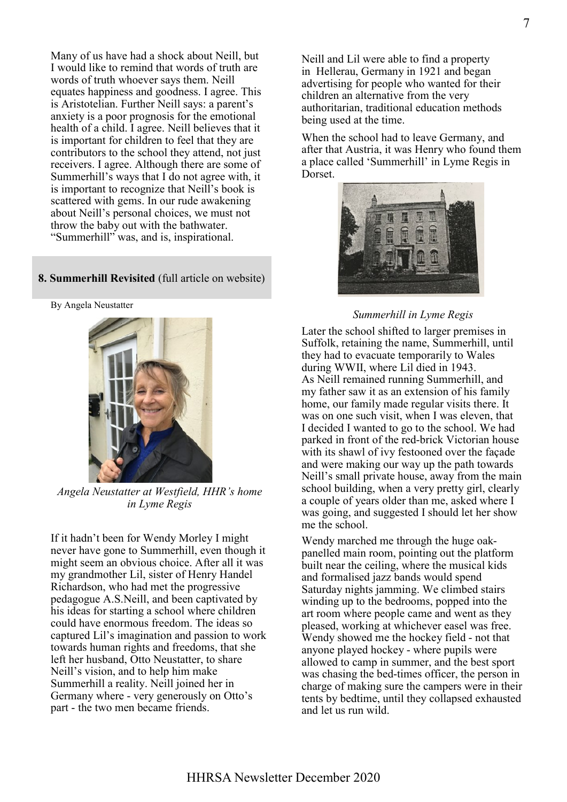Many of us have had a shock about Neill, but I would like to remind that words of truth are words of truth whoever says them. Neill equates happiness and goodness. I agree. This is Aristotelian. Further Neill says: a parent's anxiety is a poor prognosis for the emotional health of a child. I agree. Neill believes that it is important for children to feel that they are contributors to the school they attend, not just receivers. I agree. Although there are some of Summerhill's ways that I do not agree with, it is important to recognize that Neill's book is scattered with gems. In our rude awakening about Neill's personal choices, we must not throw the baby out with the bathwater. "Summerhill" was, and is, inspirational.

#### **8. Summerhill Revisited** (full article on website)

By Angela Neustatter



*Angela Neustatter at Westfield, HHR's home in Lyme Regis*

If it hadn't been for Wendy Morley I might never have gone to Summerhill, even though it might seem an obvious choice. After all it was my grandmother Lil, sister of Henry Handel Richardson, who had met the progressive pedagogue A.S.Neill, and been captivated by his ideas for starting a school where children could have enormous freedom. The ideas so captured Lil's imagination and passion to work towards human rights and freedoms, that she left her husband, Otto Neustatter, to share Neill's vision, and to help him make Summerhill a reality. Neill joined her in Germany where - very generously on Otto's part - the two men became friends.

Neill and Lil were able to find a property in Hellerau, Germany in 1921 and began advertising for people who wanted for their children an alternative from the very authoritarian, traditional education methods being used at the time.

When the school had to leave Germany, and after that Austria, it was Henry who found them a place called 'Summerhill' in Lyme Regis in Dorset.



#### *Summerhill in Lyme Regis*

Later the school shifted to larger premises in Suffolk, retaining the name, Summerhill, until they had to evacuate temporarily to Wales during WWII, where Lil died in 1943. As Neill remained running Summerhill, and my father saw it as an extension of his family home, our family made regular visits there. It was on one such visit, when I was eleven, that I decided I wanted to go to the school. We had parked in front of the red-brick Victorian house with its shawl of ivy festooned over the façade and were making our way up the path towards Neill's small private house, away from the main school building, when a very pretty girl, clearly a couple of years older than me, asked where I was going, and suggested I should let her show me the school.

Wendy marched me through the huge oakpanelled main room, pointing out the platform built near the ceiling, where the musical kids and formalised jazz bands would spend Saturday nights jamming. We climbed stairs winding up to the bedrooms, popped into the art room where people came and went as they pleased, working at whichever easel was free. Wendy showed me the hockey field - not that anyone played hockey - where pupils were allowed to camp in summer, and the best sport was chasing the bed-times officer, the person in charge of making sure the campers were in their tents by bedtime, until they collapsed exhausted and let us run wild.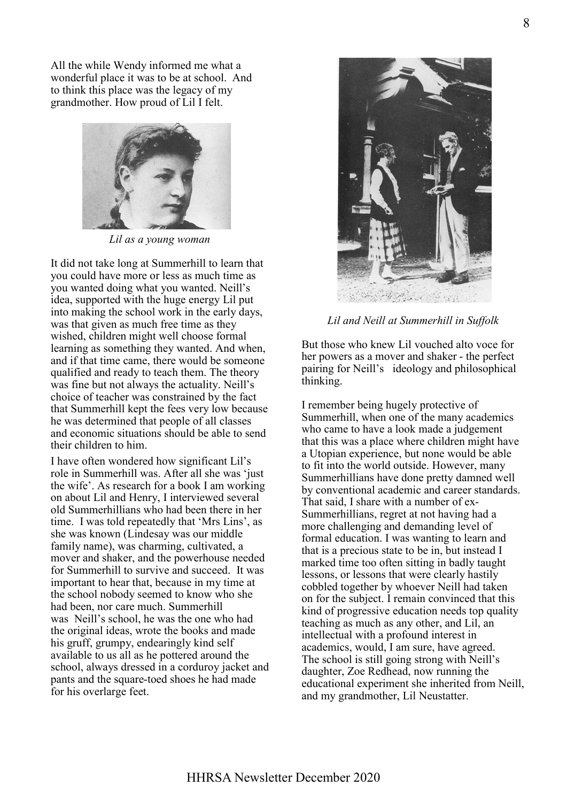All the while Wendy informed me what a wonderful place it was to be at school. And to think this place was the legacy of my grandmother. How proud of Lil I felt.



*Lil as a young woman*

It did not take long at Summerhill to learn that you could have more or less as much time as you wanted doing what you wanted. Neill's idea, supported with the huge energy Lil put into making the school work in the early days, was that given as much free time as they wished, children might well choose formal learning as something they wanted. And when, and if that time came, there would be someone qualified and ready to teach them. The theory was fine but not always the actuality. Neill's choice of teacher was constrained by the fact that Summerhill kept the fees very low because he was determined that people of all classes and economic situations should be able to send their children to him.

I have often wondered how significant Lil's role in Summerhill was. After all she was 'just the wife'. As research for a book I am working on about Lil and Henry, I interviewed several old Summerhillians who had been there in her time. I was told repeatedly that 'Mrs Lins', as she was known (Lindesay was our middle family name), was charming, cultivated, a mover and shaker, and the powerhouse needed for Summerhill to survive and succeed. It was important to hear that, because in my time at the school nobody seemed to know who she had been, nor care much. Summerhill was Neill's school, he was the one who had the original ideas, wrote the books and made his gruff, grumpy, endearingly kind self available to us all as he pottered around the school, always dressed in a corduroy jacket and pants and the square-toed shoes he had made for his overlarge feet.



*Lil and Neill at Summerhill in Suffolk*

But those who knew Lil vouched alto voce for her powers as a mover and shaker - the perfect pairing for Neill's ideology and philosophical thinking.

I remember being hugely protective of Summerhill, when one of the many academics who came to have a look made a judgement that this was a place where children might have a Utopian experience, but none would be able to fit into the world outside. However, many Summerhillians have done pretty damned well by conventional academic and career standards. That said, I share with a number of ex-Summerhillians, regret at not having had a more challenging and demanding level of formal education. I was wanting to learn and that is a precious state to be in, but instead I marked time too often sitting in badly taught lessons, or lessons that were clearly hastily cobbled together by whoever Neill had taken on for the subject. I remain convinced that this kind of progressive education needs top quality teaching as much as any other, and Lil, an intellectual with a profound interest in academics, would, I am sure, have agreed. The school is still going strong with Neill's daughter, Zoe Redhead, now running the educational experiment she inherited from Neill, and my grandmother, Lil Neustatter.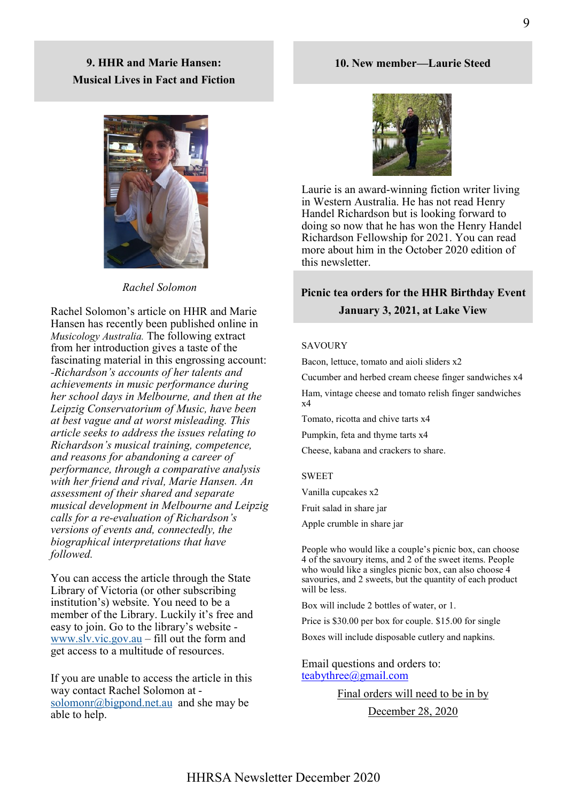# **9. HHR and Marie Hansen: Musical Lives in Fact and Fiction**



*Rachel Solomon*

Rachel Solomon's article on HHR and Marie Hansen has recently been published online in *Musicology Australia.* The following extract from her introduction gives a taste of the fascinating material in this engrossing account: *-Richardson's accounts of her talents and achievements in music performance during her school days in Melbourne, and then at the Leipzig Conservatorium of Music, have been at best vague and at worst misleading. This article seeks to address the issues relating to Richardson's musical training, competence, and reasons for abandoning a career of performance, through a comparative analysis with her friend and rival, Marie Hansen. An assessment of their shared and separate musical development in Melbourne and Leipzig calls for a re-evaluation of Richardson's versions of events and, connectedly, the biographical interpretations that have followed.*

You can access the article through the State Library of Victoria (or other subscribing institution's) website. You need to be a member of the Library. Luckily it's free and easy to join. Go to the library's website [www.slv.vic.gov.au](http://www.slv.vic.gov.au) – fill out the form and get access to a multitude of resources.

If you are unable to access the article in this way contact Rachel Solomon at [solomonr@bigpond.net.au](mailto:solomonr@bigpond.net.au) and she may be able to help[.](https://www.slv.vic.gov.au/)

# **10. New member—Laurie Steed**



Laurie is an award-winning fiction writer living in Western Australia. He has not read Henry Handel Richardson but is looking forward to doing so now that he has won the Henry Handel Richardson Fellowship for 2021. You can read more about him in the October 2020 edition of this newsletter.

# **Picnic tea orders for the HHR Birthday Event January 3, 2021, at Lake View**

#### SAVOURY

Bacon, lettuce, tomato and aioli sliders x2

Cucumber and herbed cream cheese finger sandwiches x4 Ham, vintage cheese and tomato relish finger sandwiches x4

Tomato, ricotta and chive tarts x4

Pumpkin, feta and thyme tarts x4

Cheese, kabana and crackers to share.

#### SWEET

Vanilla cupcakes x2

Fruit salad in share jar

Apple crumble in share jar

People who would like a couple's picnic box, can choose 4 of the savoury items, and 2 of the sweet items. People who would like a singles picnic box, can also choose 4 savouries, and 2 sweets, but the quantity of each product will be less.

Box will include 2 bottles of water, or 1.

Price is \$30.00 per box for couple. \$15.00 for single

Boxes will include disposable cutlery and napkins.

Email questions and orders to: [teabythree@gmail.com](mailto:teabythree@gmail.com)

Final orders will need to be in by

December 28, 2020